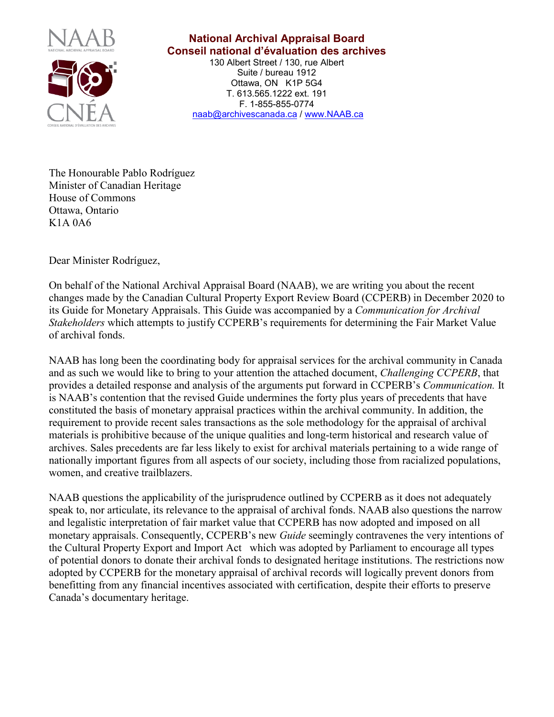

## **National Archival Appraisal Board Conseil national d'évaluation des archives**

130 Albert Street / 130, rue Albert Suite / bureau 1912 Ottawa, ON K1P 5G4 T. 613.565.1222 ext. 191 F. 1-855-855-0774 [naab@archivescanada.ca](mailto:info@naab.ca) / [www.NAAB.ca](http://www.naab.ca/)

The Honourable Pablo Rodríguez Minister of Canadian Heritage House of Commons Ottawa, Ontario K1A 0A6

Dear Minister Rodríguez,

On behalf of the National Archival Appraisal Board (NAAB), we are writing you about the recent changes made by the Canadian Cultural Property Export Review Board (CCPERB) in December 2020 to its Guide for Monetary Appraisals. This Guide was accompanied by a *Communication for Archival Stakeholders* which attempts to justify CCPERB's requirements for determining the Fair Market Value of archival fonds.

NAAB has long been the coordinating body for appraisal services for the archival community in Canada and as such we would like to bring to your attention the attached document, *Challenging CCPERB*, that provides a detailed response and analysis of the arguments put forward in CCPERB's *Communication.* It is NAAB's contention that the revised Guide undermines the forty plus years of precedents that have constituted the basis of monetary appraisal practices within the archival community. In addition, the requirement to provide recent sales transactions as the sole methodology for the appraisal of archival materials is prohibitive because of the unique qualities and long-term historical and research value of archives. Sales precedents are far less likely to exist for archival materials pertaining to a wide range of nationally important figures from all aspects of our society, including those from racialized populations, women, and creative trailblazers.

NAAB questions the applicability of the jurisprudence outlined by CCPERB as it does not adequately speak to, nor articulate, its relevance to the appraisal of archival fonds. NAAB also questions the narrow and legalistic interpretation of fair market value that CCPERB has now adopted and imposed on all monetary appraisals. Consequently, CCPERB's new *Guide* seemingly contravenes the very intentions of the Cultural Property Export and Import Act which was adopted by Parliament to encourage all types of potential donors to donate their archival fonds to designated heritage institutions. The restrictions now adopted by CCPERB for the monetary appraisal of archival records will logically prevent donors from benefitting from any financial incentives associated with certification, despite their efforts to preserve Canada's documentary heritage.